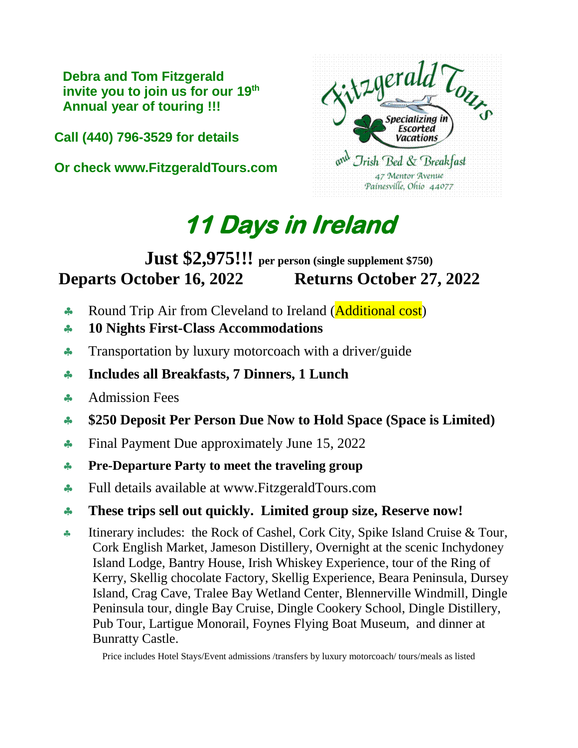**Debra and Tom Fitzgerald invite you to join us for our 19 th Annual year of touring !!!** 

**Call (440) 796-3529 for details**

**Or check www.FitzgeraldTours.com**



# **11 Days in Ireland**

## **Just \$2,975!!! per person (single supplement \$750) Departs October 16, 2022 Returns October 27, 2022**

- **Round Trip Air from Cleveland to Ireland (Additional cost)**
- **10 Nights First-Class Accommodations**
- **Transportation by luxury motorcoach with a driver/guide**
- **Includes all Breakfasts, 7 Dinners, 1 Lunch**
- Admission Fees
- **\$250 Deposit Per Person Due Now to Hold Space (Space is Limited)**
- Final Payment Due approximately June 15, 2022
- **Pre-Departure Party to meet the traveling group**
- Full details available at www.FitzgeraldTours.com
- **These trips sell out quickly. Limited group size, Reserve now!**
- Itinerary includes: the Rock of Cashel, Cork City, Spike Island Cruise  $&$  Tour, Cork English Market, Jameson Distillery, Overnight at the scenic Inchydoney Island Lodge, Bantry House, Irish Whiskey Experience, tour of the Ring of Kerry, Skellig chocolate Factory, Skellig Experience, Beara Peninsula, Dursey Island, Crag Cave, Tralee Bay Wetland Center, Blennerville Windmill, Dingle Peninsula tour, dingle Bay Cruise, Dingle Cookery School, Dingle Distillery, Pub Tour, Lartigue Monorail, Foynes Flying Boat Museum, and dinner at Bunratty Castle.

Price includes Hotel Stays/Event admissions /transfers by luxury motorcoach/ tours/meals as listed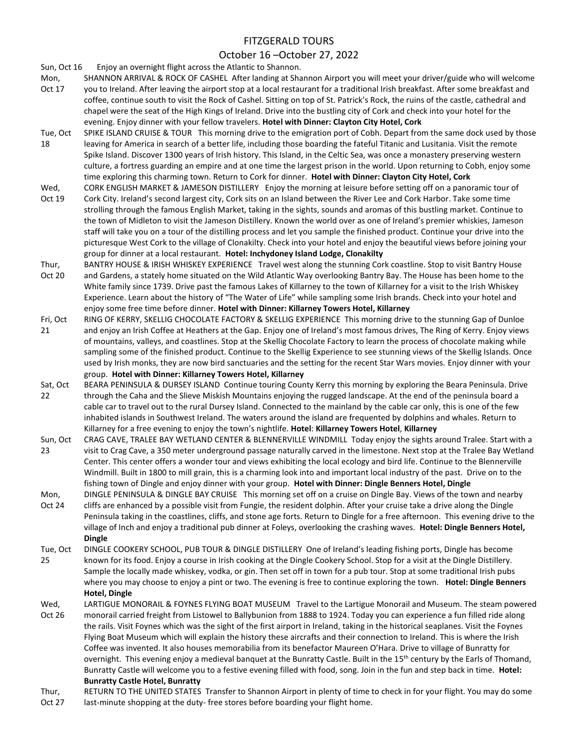#### FITZGERALD TOURS

#### October 16 –October 27, 2022

Sun, Oct 16 Enjoy an overnight flight across the Atlantic to Shannon.

- Mon, Oct 17 SHANNON ARRIVAL & ROCK OF CASHEL After landing at Shannon Airport you will meet your driver/guide who will welcome you to Ireland. After leaving the airport stop at a local restaurant for a traditional Irish breakfast. After some breakfast and coffee, continue south to visit the Rock of Cashel. Sitting on top of St. Patrick's Rock, the ruins of the castle, cathedral and chapel were the seat of the High Kings of Ireland. Drive into the bustling city of Cork and check into your hotel for the evening. Enjoy dinner with your fellow travelers. **Hotel with Dinner: Clayton City Hotel, Cork**
- Tue, Oct 18 SPIKE ISLAND CRUISE & TOUR This morning drive to the emigration port of Cobh. Depart from the same dock used by those leaving for America in search of a better life, including those boarding the fateful Titanic and Lusitania. Visit the remote Spike Island. Discover 1300 years of Irish history. This Island, in the Celtic Sea, was once a monastery preserving western culture, a fortress guarding an empire and at one time the largest prison in the world. Upon returning to Cobh, enjoy some time exploring this charming town. Return to Cork for dinner. **Hotel with Dinner: Clayton City Hotel, Cork**
- Wed, CORK ENGLISH MARKET & JAMESON DISTILLERY Enjoy the morning at leisure before setting off on a panoramic tour of
- Oct 19 Cork City. Ireland's second largest city, Cork sits on an Island between the River Lee and Cork Harbor. Take some time strolling through the famous English Market, taking in the sights, sounds and aromas of this bustling market. Continue to the town of Midleton to visit the Jameson Distillery. Known the world over as one of Ireland's premier whiskies, Jameson staff will take you on a tour of the distilling process and let you sample the finished product. Continue your drive into the picturesque West Cork to the village of Clonakilty. Check into your hotel and enjoy the beautiful views before joining your group for dinner at a local restaurant. **Hotel: Inchydoney Island Lodge, Clonakilty**
- Thur, Oct 20 BANTRY HOUSE & IRISH WHISKEY EXPERIENCE Travel west along the stunning Cork coastline. Stop to visit Bantry House and Gardens, a stately home situated on the Wild Atlantic Way overlooking Bantry Bay. The House has been home to the White family since 1739. Drive past the famous Lakes of Killarney to the town of Killarney for a visit to the Irish Whiskey Experience. Learn about the history of "The Water of Life" while sampling some Irish brands. Check into your hotel and enjoy some free time before dinner. **Hotel with Dinner: Killarney Towers Hotel, Killarney**
- Fri, Oct 21 RING OF KERRY, SKELLIG CHOCOLATE FACTORY & SKELLIG EXPERIENCE This morning drive to the stunning Gap of Dunloe and enjoy an Irish Coffee at Heathers at the Gap. Enjoy one of Ireland's most famous drives, The Ring of Kerry. Enjoy views of mountains, valleys, and coastlines. Stop at the Skellig Chocolate Factory to learn the process of chocolate making while sampling some of the finished product. Continue to the Skellig Experience to see stunning views of the Skellig Islands. Once used by Irish monks, they are now bird sanctuaries and the setting for the recent Star Wars movies. Enjoy dinner with your group. **Hotel with Dinner: Killarney Towers Hotel, Killarney**
- Sat, Oct 22 BEARA PENINSULA & DURSEY ISLAND Continue touring County Kerry this morning by exploring the Beara Peninsula. Drive through the Caha and the Slieve Miskish Mountains enjoying the rugged landscape. At the end of the peninsula board a cable car to travel out to the rural Dursey Island. Connected to the mainland by the cable car only, this is one of the few inhabited islands in Southwest Ireland. The waters around the island are frequented by dolphins and whales. Return to Killarney for a free evening to enjoy the town's nightlife. **Hotel**: **Killarney Towers Hotel**, **Killarney**
- Sun, Oct 23 CRAG CAVE, TRALEE BAY WETLAND CENTER & BLENNERVILLE WINDMILL Today enjoy the sights around Tralee. Start with a visit to Crag Cave, a 350 meter underground passage naturally carved in the limestone. Next stop at the Tralee Bay Wetland Center. This center offers a wonder tour and views exhibiting the local ecology and bird life. Continue to the Blennerville Windmill. Built in 1800 to mill grain, this is a charming look into and important local industry of the past. Drive on to the fishing town of Dingle and enjoy dinner with your group. **Hotel with Dinner: Dingle Benners Hotel, Dingle**
- Mon, Oct 24 DINGLE PENINSULA & DINGLE BAY CRUISE This morning set off on a cruise on Dingle Bay. Views of the town and nearby cliffs are enhanced by a possible visit from Fungie, the resident dolphin. After your cruise take a drive along the Dingle Peninsula taking in the coastlines, cliffs, and stone age forts. Return to Dingle for a free afternoon. This evening drive to the village of Inch and enjoy a traditional pub dinner at Foleys, overlooking the crashing waves. **Hotel: Dingle Benners Hotel, Dingle**
- Tue, Oct 25 DINGLE COOKERY SCHOOL, PUB TOUR & DINGLE DISTILLERY One of Ireland's leading fishing ports, Dingle has become known for its food. Enjoy a course in Irish cooking at the Dingle Cookery School. Stop for a visit at the Dingle Distillery. Sample the locally made whiskey, vodka, or gin. Then set off in town for a pub tour. Stop at some traditional Irish pubs where you may choose to enjoy a pint or two. The evening is free to continue exploring the town. **Hotel: Dingle Benners Hotel, Dingle**
- Wed, Oct 26 LARTIGUE MONORAIL & FOYNES FLYING BOAT MUSEUM Travel to the Lartigue Monorail and Museum. The steam powered monorail carried freight from Listowel to Ballybunion from 1888 to 1924. Today you can experience a fun filled ride along the rails. Visit Foynes which was the sight of the first airport in Ireland, taking in the historical seaplanes. Visit the Foynes Flying Boat Museum which will explain the history these aircrafts and their connection to Ireland. This is where the Irish Coffee was invented. It also houses memorabilia from its benefactor Maureen O'Hara. Drive to village of Bunratty for overnight. This evening enjoy a medieval banquet at the Bunratty Castle. Built in the 15<sup>th</sup> century by the Earls of Thomand, Bunratty Castle will welcome you to a festive evening filled with food, song. Join in the fun and step back in time. **Hotel: Bunratty Castle Hotel, Bunratty**
- Thur, Oct 27 RETURN TO THE UNITED STATES Transfer to Shannon Airport in plenty of time to check in for your flight. You may do some last-minute shopping at the duty- free stores before boarding your flight home.